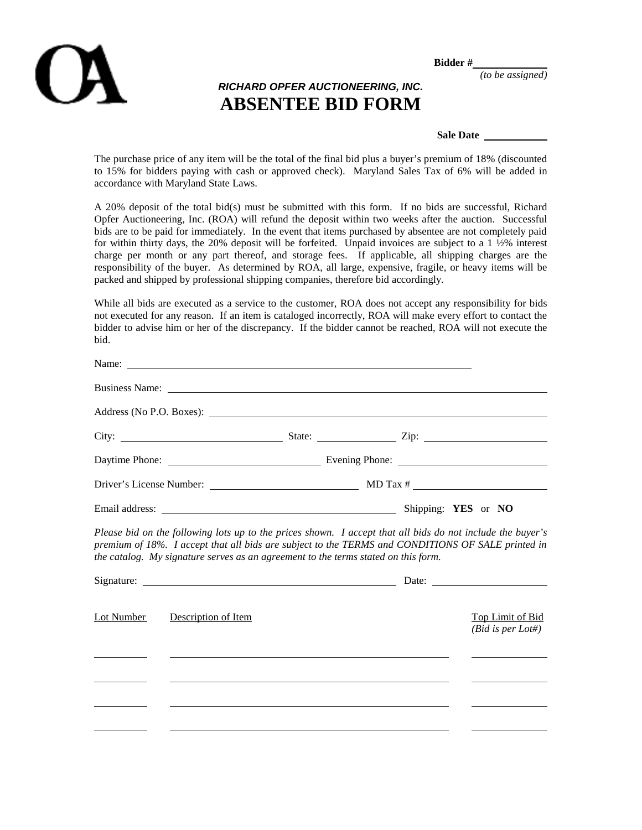

**Bidder #**

*(to be assigned)*

## *RICHARD OPFER AUCTIONEERING, INC.* **ABSENTEE BID FORM**

**Sale Date** 

The purchase price of any item will be the total of the final bid plus a buyer's premium of 18% (discounted to 15% for bidders paying with cash or approved check). Maryland Sales Tax of 6% will be added in accordance with Maryland State Laws.

A 20% deposit of the total bid(s) must be submitted with this form. If no bids are successful, Richard Opfer Auctioneering, Inc. (ROA) will refund the deposit within two weeks after the auction. Successful bids are to be paid for immediately. In the event that items purchased by absentee are not completely paid for within thirty days, the 20% deposit will be forfeited. Unpaid invoices are subject to a 1 ½% interest charge per month or any part thereof, and storage fees. If applicable, all shipping charges are the responsibility of the buyer. As determined by ROA, all large, expensive, fragile, or heavy items will be packed and shipped by professional shipping companies, therefore bid accordingly.

While all bids are executed as a service to the customer, ROA does not accept any responsibility for bids not executed for any reason. If an item is cataloged incorrectly, ROA will make every effort to contact the bidder to advise him or her of the discrepancy. If the bidder cannot be reached, ROA will not execute the bid.

|            | Name:                                                                                                                                                                                   |  |                                                                                                            |
|------------|-----------------------------------------------------------------------------------------------------------------------------------------------------------------------------------------|--|------------------------------------------------------------------------------------------------------------|
|            |                                                                                                                                                                                         |  |                                                                                                            |
|            |                                                                                                                                                                                         |  |                                                                                                            |
|            |                                                                                                                                                                                         |  |                                                                                                            |
|            |                                                                                                                                                                                         |  |                                                                                                            |
|            |                                                                                                                                                                                         |  |                                                                                                            |
|            |                                                                                                                                                                                         |  |                                                                                                            |
|            | premium of 18%. I accept that all bids are subject to the TERMS and CONDITIONS OF SALE printed in<br>the catalog. My signature serves as an agreement to the terms stated on this form. |  | Please bid on the following lots up to the prices shown. I accept that all bids do not include the buyer's |
| Lot Number | Description of Item                                                                                                                                                                     |  | <b>Top Limit of Bid</b><br>$(Bid \t{is} per Lot#)$                                                         |
|            |                                                                                                                                                                                         |  |                                                                                                            |
|            |                                                                                                                                                                                         |  |                                                                                                            |
|            |                                                                                                                                                                                         |  |                                                                                                            |